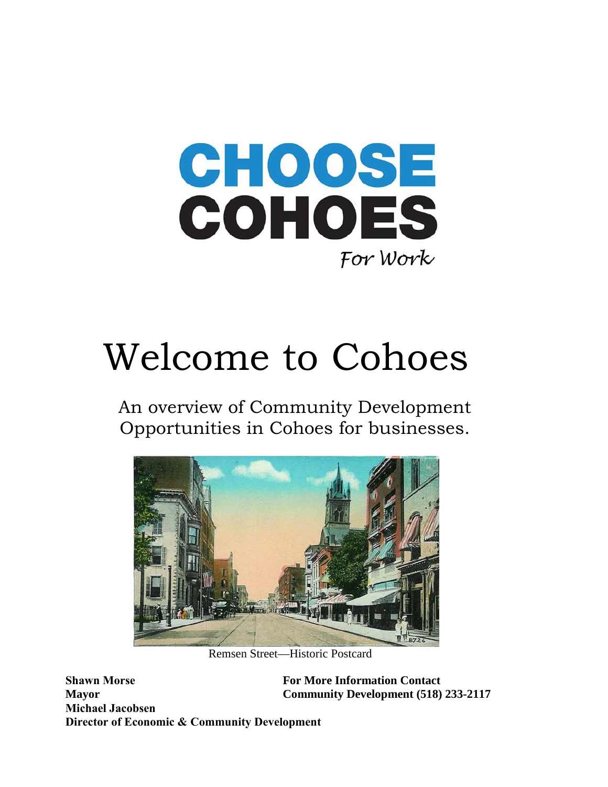

# Welcome to Cohoes

An overview of Community Development Opportunities in Cohoes for businesses.



Remsen Street—Historic Postcard

**Shawn Morse Mayor Michael Jacobsen Director of Economic & Community Development**

**For More Information Contact Community Development (518) 233-2117**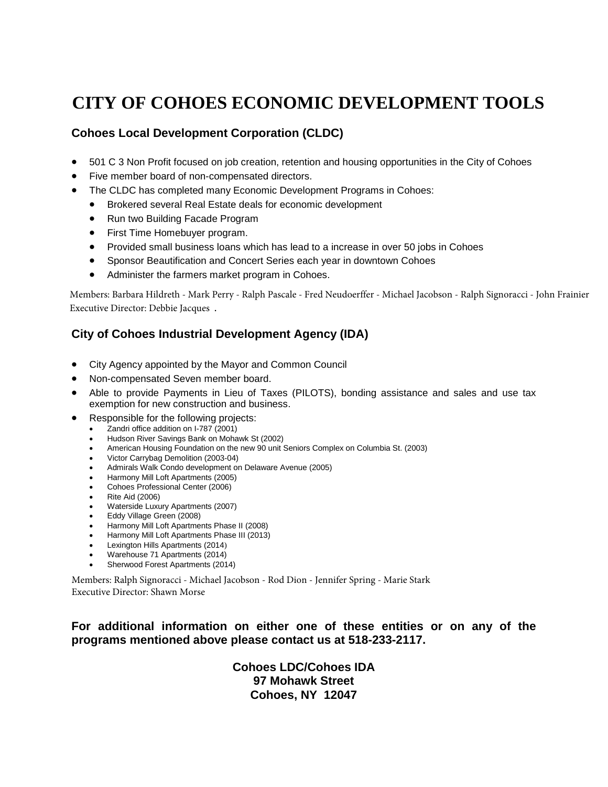# **CITY OF COHOES ECONOMIC DEVELOPMENT TOOLS**

#### **Cohoes Local Development Corporation (CLDC)**

- 501 C 3 Non Profit focused on job creation, retention and housing opportunities in the City of Cohoes
- Five member board of non-compensated directors.
- The CLDC has completed many Economic Development Programs in Cohoes:
	- Brokered several Real Estate deals for economic development
	- Run two Building Facade Program
	- First Time Homebuyer program.
	- Provided small business loans which has lead to a increase in over 50 jobs in Cohoes
	- Sponsor Beautification and Concert Series each year in downtown Cohoes
	- Administer the farmers market program in Cohoes.

Members: Barbara Hildreth - Mark Perry - Ralph Pascale - Fred Neudoerffer - Michael Jacobson - Ralph Signoracci - John Frainier Executive Director: Debbie Jacques .

#### **City of Cohoes Industrial Development Agency (IDA)**

- City Agency appointed by the Mayor and Common Council
- Non-compensated Seven member board.
- Able to provide Payments in Lieu of Taxes (PILOTS), bonding assistance and sales and use tax exemption for new construction and business.
- Responsible for the following projects:
	- Zandri office addition on I-787 (2001)
	- Hudson River Savings Bank on Mohawk St (2002)
	- American Housing Foundation on the new 90 unit Seniors Complex on Columbia St. (2003)
	- Victor Carrybag Demolition (2003-04)
	- Admirals Walk Condo development on Delaware Avenue (2005)
	- Harmony Mill Loft Apartments (2005)
	- Cohoes Professional Center (2006)
	- Rite Aid (2006)
	- Waterside Luxury Apartments (2007)
	- Eddy Village Green (2008)
	- Harmony Mill Loft Apartments Phase II (2008)
	- Harmony Mill Loft Apartments Phase III (2013)
	- Lexington Hills Apartments (2014)
	- Warehouse 71 Apartments (2014) Sherwood Forest Apartments (2014)

Members: Ralph Signoracci - Michael Jacobson - Rod Dion - Jennifer Spring - Marie Stark Executive Director: Shawn Morse

#### **For additional information on either one of these entities or on any of the programs mentioned above please contact us at 518-233-2117.**

**Cohoes LDC/Cohoes IDA 97 Mohawk Street Cohoes, NY 12047**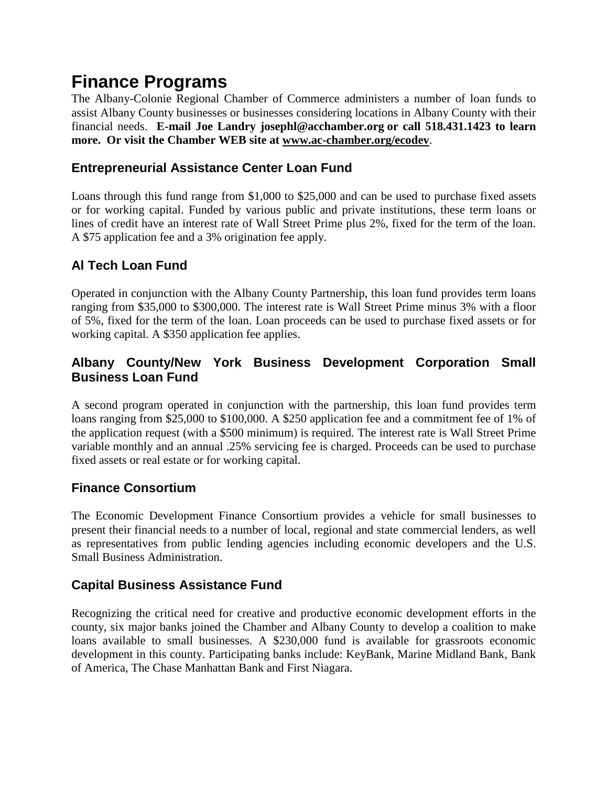# **Finance Programs**

The Albany-Colonie Regional Chamber of Commerce administers a number of loan funds to assist Albany County businesses or businesses considering locations in Albany County with their financial needs. **E-mail Joe Landry josephl@acchamber.org or call 518.431.1423 to learn more. Or visit the Chamber WEB siteat [www.ac-chamber.org/ecodev](http://www.ac-chamber.org/ecodev)**.

### **Entrepreneurial Assistance Center Loan Fund**

Loans through this fund range from \$1,000 to \$25,000 and can be used to purchase fixed assets or for working capital. Funded by various public and private institutions, these term loans or lines of credit have an interest rate of Wall Street Prime plus 2%, fixed for the term of the loan. A \$75 application fee and a 3% origination fee apply.

### **Al Tech Loan Fund**

Operated in conjunction with the Albany County Partnership, this loan fund provides term loans ranging from \$35,000 to \$300,000. The interest rate is Wall Street Prime minus 3% with a floor of 5%, fixed for the term of the loan. Loan proceeds can be used to purchase fixed assets or for working capital. A \$350 application fee applies.

### **Albany County/New York Business Development Corporation Small Business Loan Fund**

A second program operated in conjunction with the partnership, this loan fund provides term loans ranging from \$25,000 to \$100,000. A \$250 application fee and a commitment fee of 1% of the application request (with a \$500 minimum) is required. The interest rate is Wall Street Prime variable monthly and an annual .25% servicing fee is charged. Proceeds can be used to purchase fixed assets or real estate or for working capital.

### **Finance Consortium**

The Economic Development Finance Consortium provides a vehicle for small businesses to present their financial needs to a number of local, regional and state commercial lenders, as well as representatives from public lending agencies including economic developers and the U.S. Small Business Administration.

### **Capital Business Assistance Fund**

Recognizing the critical need for creative and productive economic development efforts in the county, six major banks joined the Chamber and Albany County to develop a coalition to make loans available to small businesses. A \$230,000 fund is available for grassroots economic development in this county. Participating banks include: KeyBank, Marine Midland Bank, Bank of America, The Chase Manhattan Bank and First Niagara.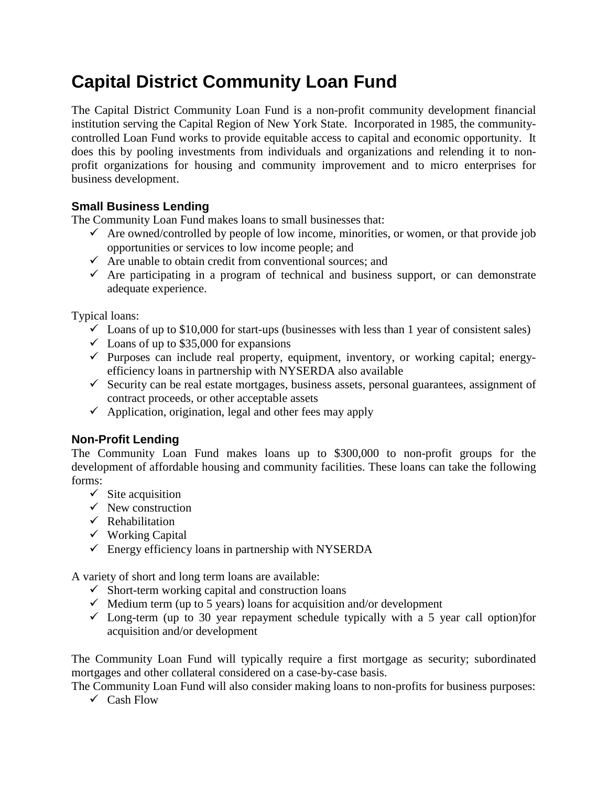# **Capital District Community Loan Fund**

The Capital District Community Loan Fund is a non-profit community development financial institution serving the Capital Region of New York State. Incorporated in 1985, the communitycontrolled Loan Fund works to provide equitable access to capital and economic opportunity. It does this by pooling investments from individuals and organizations and relending it to nonprofit organizations for housing and community improvement and to micro enterprises for business development.

### **Small Business Lending**

The Community Loan Fund makes loans to small businesses that:

- $\checkmark$  Are owned/controlled by people of low income, minorities, or women, or that provide job opportunities or services to low income people; and
- $\checkmark$  Are unable to obtain credit from conventional sources; and
- $\checkmark$  Are participating in a program of technical and business support, or can demonstrate adequate experience.

Typical loans:

- $\checkmark$  Loans of up to \$10,000 for start-ups (businesses with less than 1 year of consistent sales)
- $\checkmark$  Loans of up to \$35,000 for expansions
- $\checkmark$  Purposes can include real property, equipment, inventory, or working capital; energyefficiency loans in partnership with NYSERDA also available
- $\checkmark$  Security can be real estate mortgages, business assets, personal guarantees, assignment of contract proceeds, or other acceptable assets
- $\checkmark$  Application, origination, legal and other fees may apply

#### **Non-Profit Lending**

The Community Loan Fund makes loans up to \$300,000 to non-profit groups for the development of affordable housing and community facilities. These loans can take the following forms:

- $\checkmark$  Site acquisition
- $\checkmark$  New construction
- $\checkmark$  Rehabilitation
- $\checkmark$  Working Capital
- $\checkmark$  Energy efficiency loans in partnership with NYSERDA

A variety of short and long term loans are available:

- $\checkmark$  Short-term working capital and construction loans
- $\checkmark$  Medium term (up to 5 years) loans for acquisition and/or development
- $\checkmark$  Long-term (up to 30 year repayment schedule typically with a 5 year call option)for acquisition and/or development

The Community Loan Fund will typically require a first mortgage as security; subordinated mortgages and other collateral considered on a case-by-case basis.

The Community Loan Fund will also consider making loans to non-profits for business purposes:  $\checkmark$  Cash Flow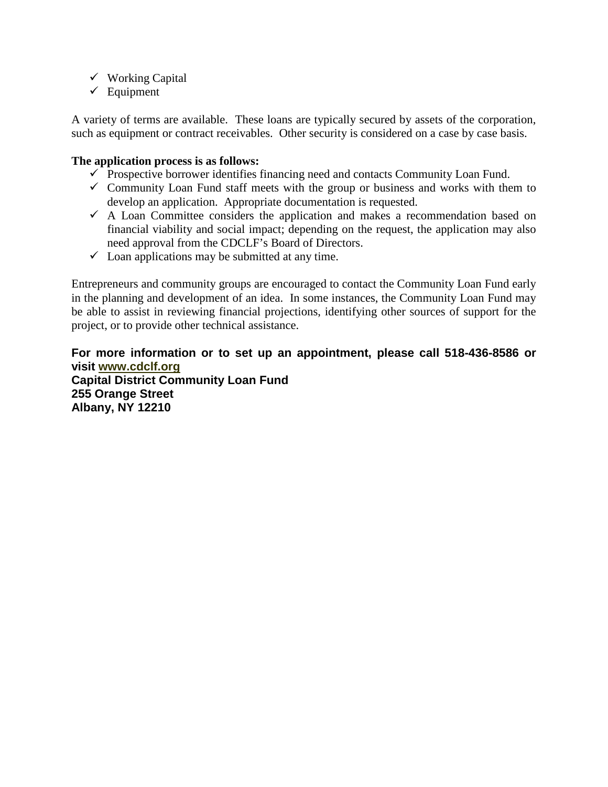- Working Capital
- $\checkmark$  Equipment

A variety of terms are available. These loans are typically secured by assets of the corporation, such as equipment or contract receivables. Other security is considered on a case by case basis.

#### **The application process is as follows:**

- $\checkmark$  Prospective borrower identifies financing need and contacts Community Loan Fund.
- $\checkmark$  Community Loan Fund staff meets with the group or business and works with them to develop an application. Appropriate documentation is requested.
- $\checkmark$  A Loan Committee considers the application and makes a recommendation based on financial viability and social impact; depending on the request, the application may also need approval from the CDCLF's Board of Directors.
- $\checkmark$  Loan applications may be submitted at any time.

Entrepreneurs and community groups are encouraged to contact the Community Loan Fund early in the planning and development of an idea. In some instances, the Community Loan Fund may be able to assist in reviewing financial projections, identifying other sources of support for the project, or to provide other technical assistance.

**For more information or to set up an appointment, please call 518-436-8586 or visit [www.cdclf.org](http://www.cdclf.org/) Capital District Community Loan Fund 255 Orange Street Albany, NY 12210**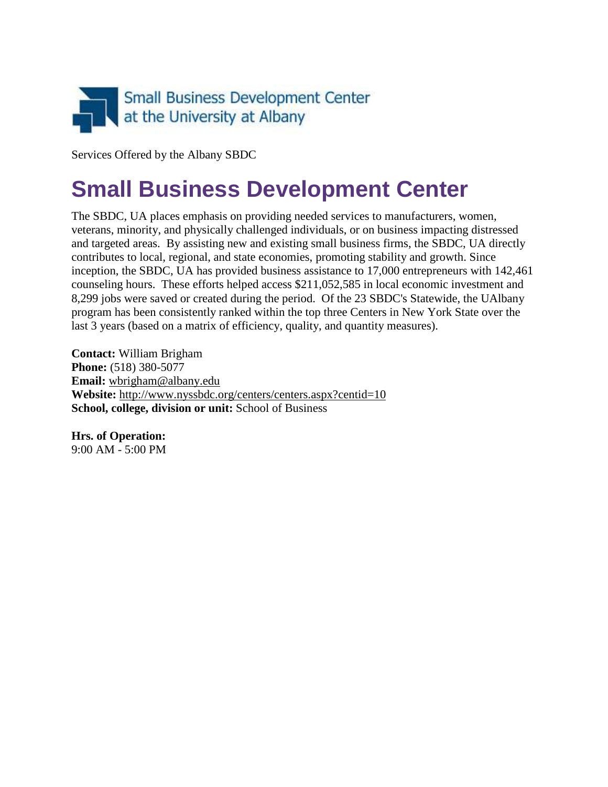

Services Offered by the Albany SBDC

# **Small Business Development Center**

The SBDC, UA places emphasis on providing needed services to manufacturers, women, veterans, minority, and physically challenged individuals, or on business impacting distressed and targeted areas. By assisting new and existing small business firms, the SBDC, UA directly contributes to local, regional, and state economies, promoting stability and growth. Since inception, the SBDC, UA has provided business assistance to 17,000 entrepreneurs with 142,461 counseling hours. These efforts helped access \$211,052,585 in local economic investment and 8,299 jobs were saved or created during the period. Of the 23 SBDC's Statewide, the UAlbany program has been consistently ranked within the top three Centers in New York State over the last 3 years (based on a matrix of efficiency, quality, and quantity measures).

**Contact:** William Brigham **Phone:** (518) 380-5077 **Email:** [wbrigham@albany.edu](mailto:wbrigham@albany.edu) **Website:** <http://www.nyssbdc.org/centers/centers.aspx?centid=10> **School, college, division or unit:** School of Business

**Hrs. of Operation:** 9:00 AM - 5:00 PM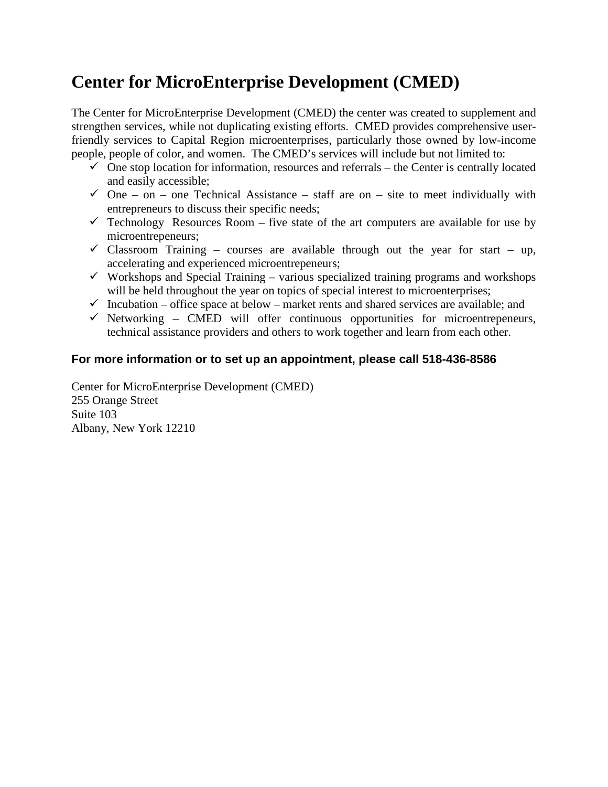# **Center for MicroEnterprise Development (CMED)**

The Center for MicroEnterprise Development (CMED) the center was created to supplement and strengthen services, while not duplicating existing efforts. CMED provides comprehensive userfriendly services to Capital Region microenterprises, particularly those owned by low-income people, people of color, and women. The CMED's services will include but not limited to:

- $\checkmark$  One stop location for information, resources and referrals the Center is centrally located and easily accessible;
- $\checkmark$  One on one Technical Assistance staff are on site to meet individually with entrepreneurs to discuss their specific needs;
- $\checkmark$  Technology Resources Room five state of the art computers are available for use by microentrepeneurs;
- $\checkmark$  Classroom Training courses are available through out the year for start up, accelerating and experienced microentrepeneurs;
- $\checkmark$  Workshops and Special Training various specialized training programs and workshops will be held throughout the year on topics of special interest to microenterprises;
- $\checkmark$  Incubation office space at below market rents and shared services are available; and
- $\checkmark$  Networking CMED will offer continuous opportunities for microentrepeneurs, technical assistance providers and others to work together and learn from each other.

#### **For more information or to set up an appointment, please call 518-436-8586**

Center for MicroEnterprise Development (CMED) 255 Orange Street Suite 103 Albany, New York 12210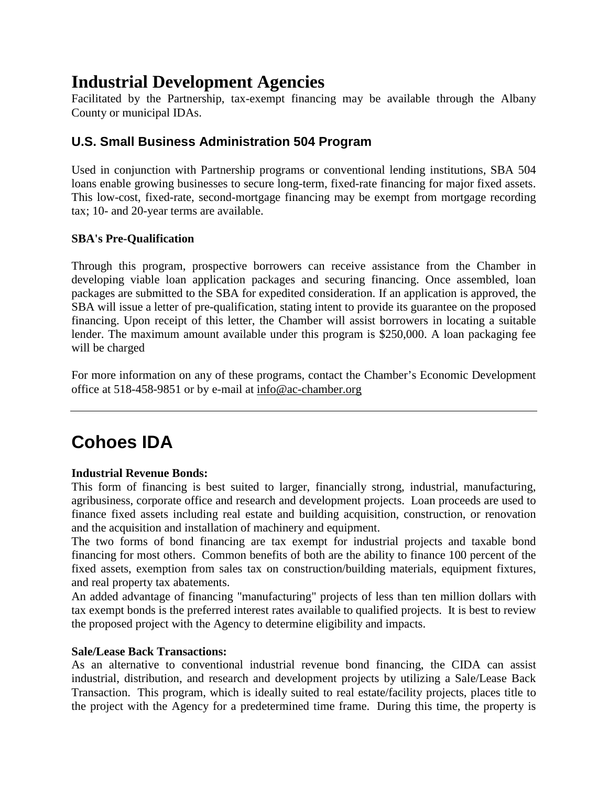# **Industrial Development Agencies**

Facilitated by the Partnership, tax-exempt financing may be available through the Albany County or municipal IDAs.

### **U.S. Small Business Administration 504 Program**

Used in conjunction with Partnership programs or conventional lending institutions, SBA 504 loans enable growing businesses to secure long-term, fixed-rate financing for major fixed assets. This low-cost, fixed-rate, second-mortgage financing may be exempt from mortgage recording tax; 10- and 20-year terms are available.

#### **SBA's Pre-Qualification**

Through this program, prospective borrowers can receive assistance from the Chamber in developing viable loan application packages and securing financing. Once assembled, loan packages are submitted to the SBA for expedited consideration. If an application is approved, the SBA will issue a letter of pre-qualification, stating intent to provide its guarantee on the proposed financing. Upon receipt of this letter, the Chamber will assist borrowers in locating a suitable lender. The maximum amount available under this program is \$250,000. A loan packaging fee will be charged

For more information on any of these programs, contact the Chamber's Economic Development office at 518-458-9851 or by e-mailat [info@ac-chamber.org](mailto:info@ac-chamber.org)

# **Cohoes IDA**

#### **Industrial Revenue Bonds:**

This form of financing is best suited to larger, financially strong, industrial, manufacturing, agribusiness, corporate office and research and development projects. Loan proceeds are used to finance fixed assets including real estate and building acquisition, construction, or renovation and the acquisition and installation of machinery and equipment.

The two forms of bond financing are tax exempt for industrial projects and taxable bond financing for most others. Common benefits of both are the ability to finance 100 percent of the fixed assets, exemption from sales tax on construction/building materials, equipment fixtures, and real property tax abatements.

An added advantage of financing "manufacturing" projects of less than ten million dollars with tax exempt bonds is the preferred interest rates available to qualified projects. It is best to review the proposed project with the Agency to determine eligibility and impacts.

#### **Sale/Lease Back Transactions:**

As an alternative to conventional industrial revenue bond financing, the CIDA can assist industrial, distribution, and research and development projects by utilizing a Sale/Lease Back Transaction. This program, which is ideally suited to real estate/facility projects, places title to the project with the Agency for a predetermined time frame. During this time, the property is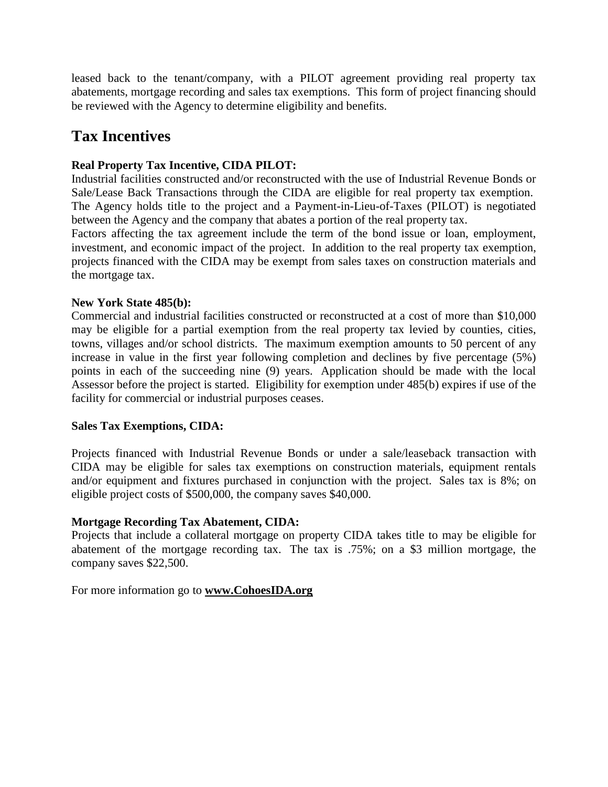leased back to the tenant/company, with a PILOT agreement providing real property tax abatements, mortgage recording and sales tax exemptions. This form of project financing should be reviewed with the Agency to determine eligibility and benefits.

### **Tax Incentives**

#### **Real Property Tax Incentive, CIDA PILOT:**

Industrial facilities constructed and/or reconstructed with the use of Industrial Revenue Bonds or Sale/Lease Back Transactions through the CIDA are eligible for real property tax exemption. The Agency holds title to the project and a Payment-in-Lieu-of-Taxes (PILOT) is negotiated between the Agency and the company that abates a portion of the real property tax.

Factors affecting the tax agreement include the term of the bond issue or loan, employment, investment, and economic impact of the project. In addition to the real property tax exemption, projects financed with the CIDA may be exempt from sales taxes on construction materials and the mortgage tax.

#### **New York State 485(b):**

Commercial and industrial facilities constructed or reconstructed at a cost of more than \$10,000 may be eligible for a partial exemption from the real property tax levied by counties, cities, towns, villages and/or school districts. The maximum exemption amounts to 50 percent of any increase in value in the first year following completion and declines by five percentage (5%) points in each of the succeeding nine (9) years. Application should be made with the local Assessor before the project is started. Eligibility for exemption under 485(b) expires if use of the facility for commercial or industrial purposes ceases.

#### **Sales Tax Exemptions, CIDA:**

Projects financed with Industrial Revenue Bonds or under a sale/leaseback transaction with CIDA may be eligible for sales tax exemptions on construction materials, equipment rentals and/or equipment and fixtures purchased in conjunction with the project. Sales tax is 8%; on eligible project costs of \$500,000, the company saves \$40,000.

#### **Mortgage Recording Tax Abatement, CIDA:**

Projects that include a collateral mortgage on property CIDA takes title to may be eligible for abatement of the mortgage recording tax. The tax is .75%; on a \$3 million mortgage, the company saves \$22,500.

For more information go to **[www.CohoesIDA.org](http://www.cohoesida.org/)**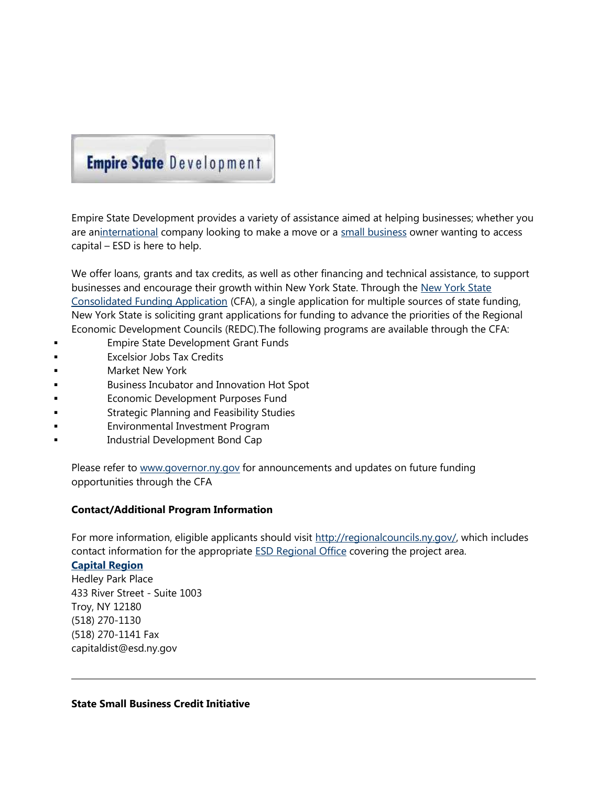# **Empire State Development**

Empire State Development provides a variety of assistance aimed at helping businesses; whether you arean[international](http://www.esd.ny.gov/International.html) company looking to make a move or a [small business](http://www.esd.ny.gov/SmallBusiness.html) owner wanting to access capital – ESD is here to help.

We offer loans, grants and tax credits, as well as other financing and technical assistance, to support businesses and encourage their growth within New York State. Through the [New York State](https://apps.cio.ny.gov/apps/cfa/index.cfm) [Consolidated Funding Application](https://apps.cio.ny.gov/apps/cfa/index.cfm) (CFA), a single application for multiple sources of state funding, New York State is soliciting grant applications for funding to advance the priorities of the Regional Economic Development Councils (REDC).The following programs are available through the CFA:

- Empire State Development Grant Funds
- Excelsior Jobs Tax Credits
- Market New York
- Business Incubator and Innovation Hot Spot
- Economic Development Purposes Fund
- Strategic Planning and Feasibility Studies
- Environmental Investment Program
- Industrial Development Bond Cap

Please refer to [www.governor.ny.gov](http://www.governor.ny.gov/) for announcements and updates on future funding opportunities through the CFA

#### **Contact/Additional Program Information**

For more information, eligible applicants should visit [http://regionalcouncils.ny.gov/,](http://regionalcouncils.ny.gov/) which includes contact information for the appropriate [ESD Regional Office](http://www.esd.ny.gov/RegionalOverviews.html) covering the project area.

#### **[Capital Region](http://www.esd.ny.gov/Capital.html)**

Hedley Park Place 433 River Street - Suite 1003 Troy, NY 12180 (518) 270-1130 (518) 270-1141 Fax capitaldist@esd.ny.gov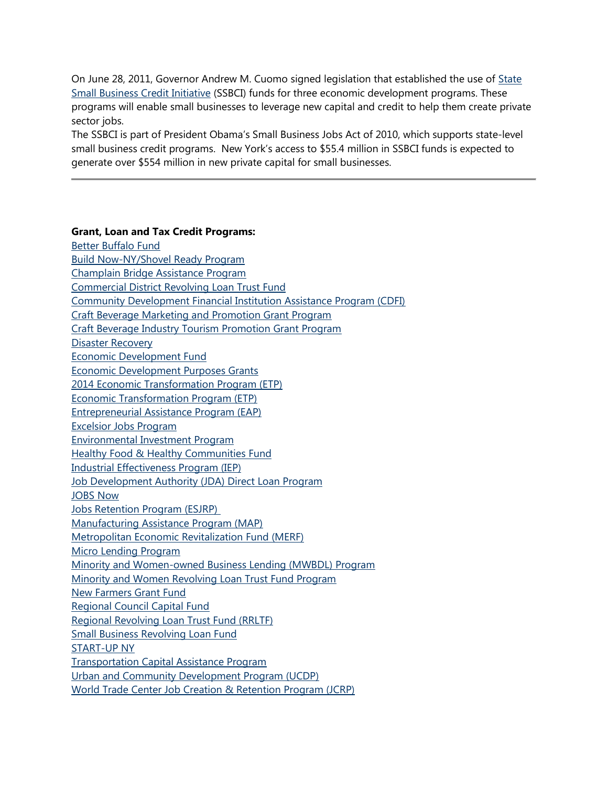On June 28, 2011, Governor Andrew M. Cuomo signed legislation that established the use of [State](http://www.esd.ny.gov/BusinessPrograms/SSBCI.html) [Small Business Credit Initiative](http://www.esd.ny.gov/BusinessPrograms/SSBCI.html) (SSBCI) funds for three economic development programs. These programs will enable small businesses to leverage new capital and credit to help them create private sector jobs.

The SSBCI is part of President Obama's Small Business Jobs Act of 2010, which supports state-level small business credit programs. New York's access to \$55.4 million in SSBCI funds is expected to generate over \$554 million in new private capital for small businesses.

#### **Grant, Loan and Tax Credit Programs:**

[Better Buffalo Fund](http://www.esd.ny.gov/BusinessPrograms/BetterBuffaloFund.html) [Build Now-NY/Shovel Ready Program](http://www.esd.ny.gov/BusinessPrograms/Data/BuildNow/index.htm) [Champlain Bridge Assistance Program](http://www.esd.ny.gov/ChamplainBridge.html) [Commercial District Revolving Loan Trust Fund](http://www.esd.ny.gov/BusinessPrograms/CommercialDistrictRLTF.html) [Community Development Financial Institution Assistance Program \(CDFI\)](http://www.esd.ny.gov/BusinessPrograms/CDFI.html) [Craft Beverage Marketing and Promotion Grant Program](http://www.esd.ny.gov/BusinessPrograms/CraftBeverageGrantProgram.html) [Craft Beverage Industry Tourism Promotion Grant Program](http://www.esd.ny.gov/BusinessPrograms/CraftBeverageGrantProgram.html) [Disaster Recovery](http://www.esd.ny.gov/DisasterRecovery.html) [Economic Development Fund](http://www.esd.ny.gov/BusinessPrograms/EDF.html) [Economic Development Purposes Grants](http://www.esd.ny.gov/BusinessPrograms/EconDevPurposesGrants.html) [2014 Economic Transformation Program \(ETP\)](http://www.esd.ny.gov/BusinessPrograms/2014Economic_Transformation.html) [Economic Transformation Program \(ETP\)](http://www.esd.ny.gov/BusinessPrograms/EconomicTransformation.html) [Entrepreneurial Assistance Program \(EAP\)](http://www.esd.ny.gov/BusinessPrograms/EAP.html) [Excelsior Jobs Program](http://www.esd.ny.gov/BusinessPrograms/Excelsior.html) [Environmental Investment Program](http://www.esd.ny.gov/BusinessPrograms/EIP.html) [Healthy Food & Healthy Communities Fund](http://www.esd.ny.gov/BusinessPrograms/HealthyFoodHealthyCommunities.html) [Industrial Effectiveness Program \(IEP\)](http://www.esd.ny.gov/BusinessPrograms/IEP.html) [Job Development Authority \(JDA\) Direct Loan Program](http://www.esd.ny.gov/BusinessPrograms/JDADirectLoanProgram.html) [JOBS Now](http://www.esd.ny.gov/BusinessPrograms/JOBSNow.html) [Jobs Retention Program \(ESJRP\)](http://www.esd.ny.gov/BusinessPrograms/ESJRP.html) [Manufacturing Assistance Program \(MAP\)](http://www.esd.ny.gov/BusinessPrograms/MAP.html) [Metropolitan Economic Revitalization Fund \(MERF\)](http://www.esd.ny.gov/BusinessPrograms/MERF.html) [Micro Lending Program](http://www.esd.ny.gov/BusinessPrograms/Data/MICROLENDING/MicroLendingProgramFACTSHEET.pdf) [Minority and Women-owned Business Lending \(MWBDL\) Program](http://www.esd.ny.gov/BusinessPrograms/MWBEDevelopmentLending.html) [Minority and Women Revolving Loan Trust Fund Program](http://www.esd.ny.gov/BusinessPrograms/MWBERevolvingLoanTrustFund.html) [New Farmers Grant Fund](http://www.esd.ny.gov/BusinessPrograms/NewFarmersGrantFund.html) [Regional Council Capital Fund](http://www.esd.ny.gov/BusinessPrograms/RegionalCouncilCapFund.html) [Regional Revolving Loan Trust Fund \(RRLTF\)](http://www.esd.ny.gov/BusinessPrograms/RRLTF.html) [Small Business Revolving Loan Fund](http://www.esd.ny.gov/BusinessPrograms/SBRLF.html) [START-UP NY](http://startup.ny.gov/) [Transportation Capital Assistance Program](http://www.esd.ny.gov/BusinessPrograms/TransportationCapitalAssistance.html) [Urban and Community Development Program \(UCDP\)](http://www.esd.ny.gov/BusinessPrograms/UCDP.html) [World Trade Center Job Creation & Retention Program \(JCRP\)](http://www.esd.ny.gov/BusinessPrograms/WTC_JCRP.html)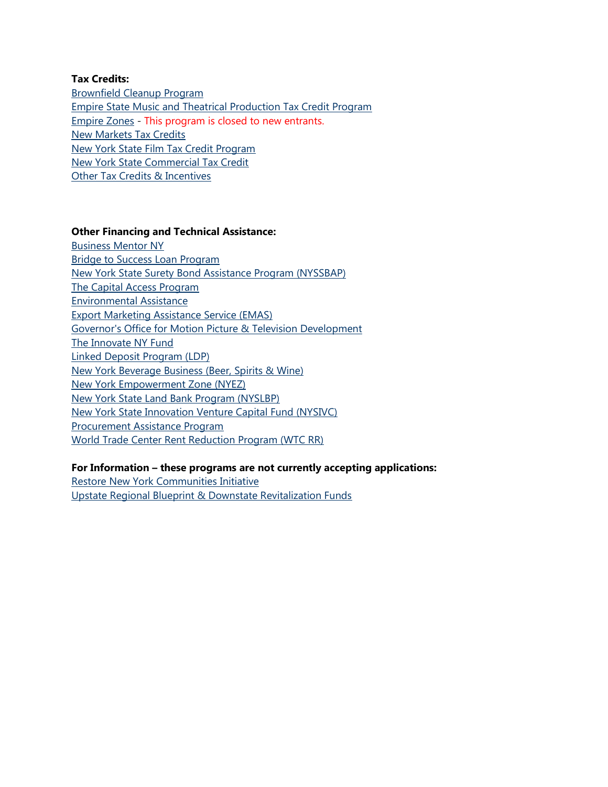#### **Tax Credits:**

[Brownfield Cleanup Program](http://www.esd.ny.gov/BusinessPrograms/BrownfieldCleanup.html) [Empire State Music and Theatrical Production Tax Credit Program](http://www.esd.ny.gov/BusinessPrograms/MusicTheaterCredit.html) [Empire Zones](http://www.esd.ny.gov/BusinessPrograms/EmpireZones.html) - This program is closed to new entrants. [New Markets Tax Credits](http://www.esd.ny.gov/BusinessPrograms/NewMarketsTaxCredits.html) [New York State Film Tax Credit Program](http://www.esd.ny.gov/BusinessPrograms/filmCredit.html) [New York State Commercial Tax Credit](http://www.esd.ny.gov/BusinessPrograms/CommercialsCredit.html) [Other Tax Credits & Incentives](http://www.esd.ny.gov/BusinessPrograms/Taxes_Incentives.html)

#### **Other Financing and Technical Assistance:**

[Business Mentor NY](http://businessmentor.ny.gov/) [Bridge to Success Loan Program](http://www.esd.ny.gov/BusinessPrograms/Data/BridgetoSuccess/02242015_Bridge_to_Success_Flyer_new_branding.pdf) [New York State Surety Bond Assistance Program \(NYSSBAP\)](http://www.esd.ny.gov/BusinessPrograms/BondingAssistance.html) [The Capital Access Program](http://www.esd.ny.gov/BusinessPrograms/CapitalAccess.html) [Environmental Assistance](http://www.esd.ny.gov/BusinessPrograms/EnvironmentalAssistance.html) [Export Marketing Assistance Service \(EMAS\)](http://www.esd.ny.gov/BusinessPrograms/EMAS.html) [Governor's Office for Motion Picture & Television Development](http://www.esd.ny.gov/BusinessPrograms/Film.html) [The Innovate NY Fund](http://www.esd.ny.gov/InnovateNY.html) [Linked Deposit Program \(LDP\)](http://www.esd.ny.gov/BusinessPrograms/LinkedDeposit.html) [New York Beverage Business \(Beer, Spirits & Wine\)](http://www.esd.ny.gov/NYSBeverageBiz.html) [New York Empowerment Zone \(NYEZ\)](http://www.esd.ny.gov/BusinessPrograms/NYEZ.html) [New York State Land Bank Program \(NYSLBP\)](http://www.esd.ny.gov/BusinessPrograms/NYSLBP.html) [New York State Innovation Venture Capital Fund \(NYSIVC\)](http://www.esd.ny.gov/BusinessPrograms/NYSInnovationVentureCapitalFund.html) [Procurement Assistance Program](http://www.esd.ny.gov/BusinessPrograms/ProcurementAssistance.html) [World Trade Center Rent Reduction Program \(WTC RR\)](http://www.esd.ny.gov/BusinessPrograms/WTC_RR.html)

#### **For Information – these programs are not currently accepting applications:**

[Restore New York Communities Initiative](http://www.esd.ny.gov/BusinessPrograms/RestoreNY.html) [Upstate Regional Blueprint & Downstate Revitalization Funds](http://www.esd.ny.gov/BusinessPrograms/UpstateDownstateFunds.html)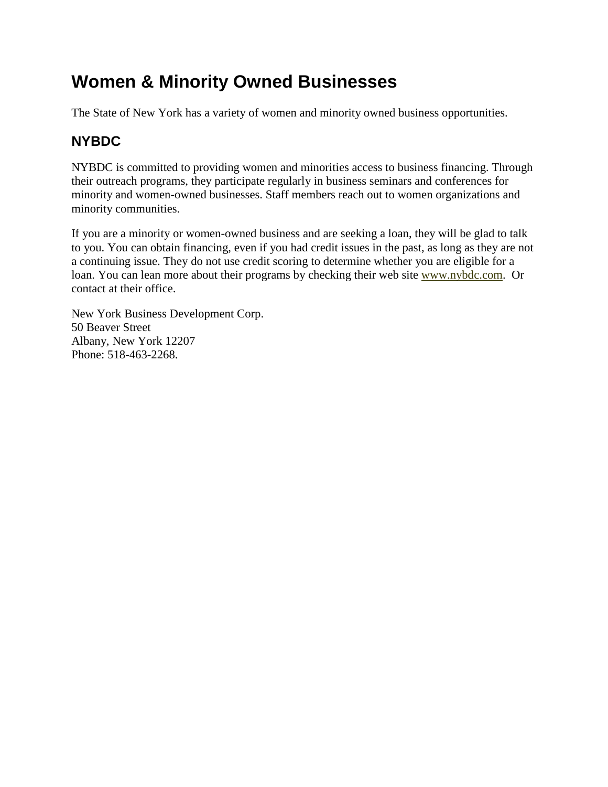# **Women & Minority Owned Businesses**

The State of New York has a variety of women and minority owned business opportunities.

### **NYBDC**

NYBDC is committed to providing women and minorities access to business financing. Through their outreach programs, they participate regularly in business seminars and conferences for minority and women-owned businesses. Staff members reach out to women organizations and minority communities.

If you are a minority or women-owned business and are seeking a loan, they will be glad to talk to you. You can obtain financing, even if you had credit issues in the past, as long as they are not a continuing issue. They do not use credit scoring to determine whether you are eligible for a loan. You can lean more about their programs by checking their web site [www.nybdc.com](http://www.nybdc.com/). Or contact at their office.

New York Business Development Corp. 50 Beaver Street Albany, New York 12207 Phone: 518-463-2268.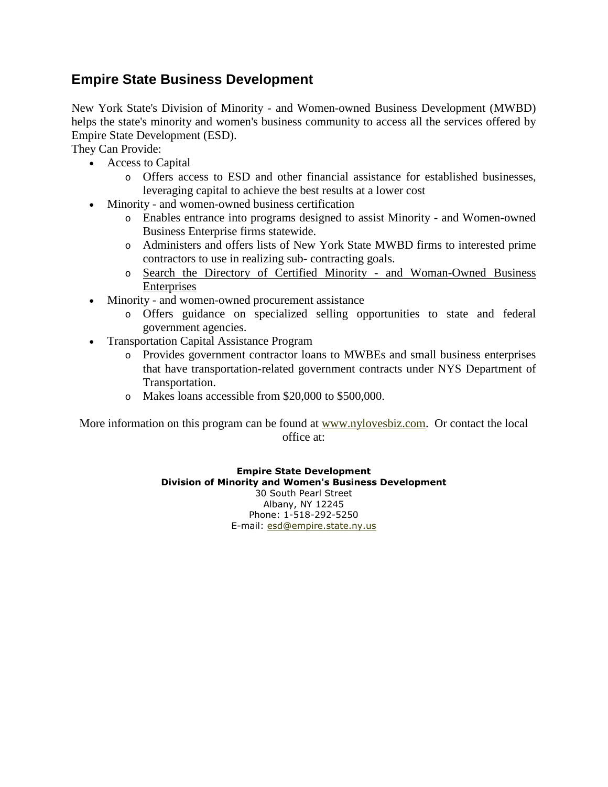### **Empire State Business Development**

New York State's Division of Minority - and Women-owned Business Development (MWBD) helps the state's minority and women's business community to access all the services offered by Empire State Development (ESD).

They Can Provide:

- Access to Capital
	- o Offers access to ESD and other financial assistance for established businesses, leveraging capital to achieve the best results at a lower cost
- Minority and women-owned business certification
	- o Enables entrance into programs designed to assist Minority and Women-owned Business Enterprise firms statewide.
	- o Administers and offers lists of New York State MWBD firms to interested prime contractors to use in realizing sub- contracting goals.
	- o [Search the Directory of Certified Minority and Woman-Owned Business](http://205.232.252.35/) [Enterprises](http://205.232.252.35/)
- Minority and women-owned procurement assistance
	- o Offers guidance on specialized selling opportunities to state and federal government agencies.
- Transportation Capital Assistance Program
	- o Provides government contractor loans to MWBEs and small business enterprises that have transportation-related government contracts under NYS Department of Transportation.
	- o Makes loans accessible from \$20,000 to \$500,000.

More information on this program can be found at [www.nylovesbiz.com.](http://www.nylovesbiz.com/) Or contact the local office at:

> **Empire State Development Division of Minority and Women's Business Development** 30 South Pearl Street Albany, NY 12245 Phone: 1-518-292-5250 E-mail: [esd@empire.state.ny.us](mailto:esd@empire.state.ny.us)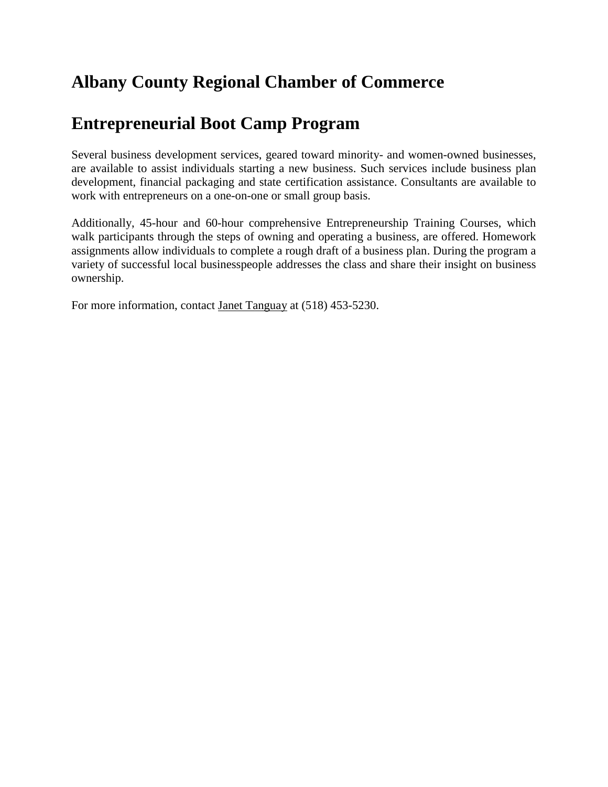## **Albany County Regional Chamber of Commerce**

# **Entrepreneurial Boot Camp Program**

Several business development services, geared toward minority- and women-owned businesses, are available to assist individuals starting a new business. Such services include business plan development, financial packaging and state certification assistance. Consultants are available to work with entrepreneurs on a one-on-one or small group basis.

Additionally, 45-hour and 60-hour comprehensive Entrepreneurship Training Courses, which walk participants through the steps of owning and operating a business, are offered. Homework assignments allow individuals to complete a rough draft of a business plan. During the program a variety of successful local businesspeople addresses the class and share their insight on business ownership.

For more information, contact [Janet Tanguay](mailto:janett@ac-chamber.org) at (518) 453-5230.